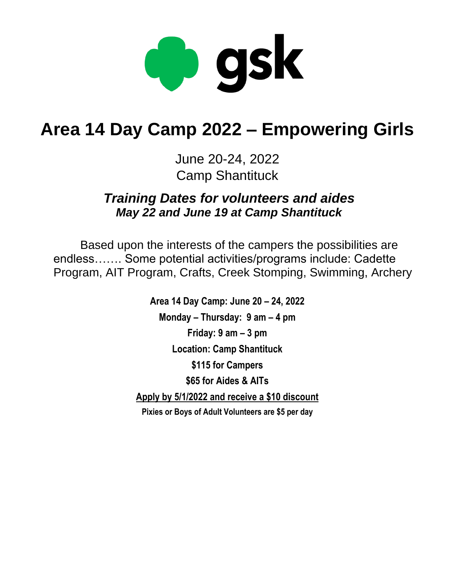

# **Area 14 Day Camp 2022 – Empowering Girls**

June 20-24, 2022 Camp Shantituck

*Training Dates for volunteers and aides May 22 and June 19 at Camp Shantituck*

Based upon the interests of the campers the possibilities are endless……. Some potential activities/programs include: Cadette Program, AIT Program, Crafts, Creek Stomping, Swimming, Archery

> **Area 14 Day Camp: June 20 – 24, 2022 Monday – Thursday: 9 am – 4 pm Friday: 9 am – 3 pm Location: Camp Shantituck \$115 for Campers \$65 for Aides & AITs Apply by 5/1/2022 and receive a \$10 discount Pixies or Boys of Adult Volunteers are \$5 per day**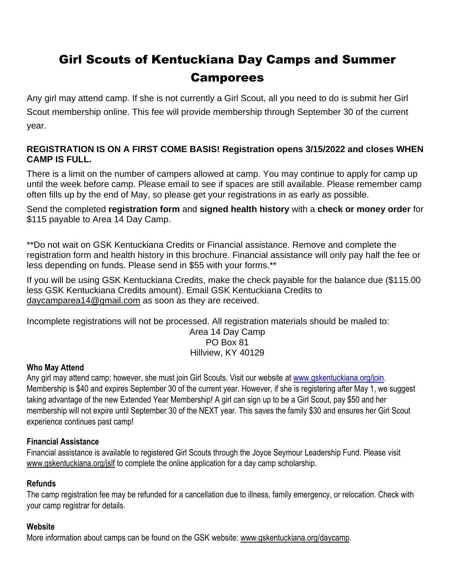# Girl Scouts of Kentuckiana Day Camps and Summer Camporees

Any girl may attend camp. If she is not currently a Girl Scout, all you need to do is submit her Girl Scout membership online. This fee will provide membership through September 30 of the current year.

#### **REGISTRATION IS ON A FIRST COME BASIS! Registration opens 3/15/2022 and closes WHEN CAMP IS FULL.**

There is a limit on the number of campers allowed at camp. You may continue to apply for camp up until the week before camp. Please email to see if spaces are still available. Please remember camp often fills up by the end of May, so please get your registrations in as early as possible.

Send the completed **registration form** and **signed health history** with a **check or money order** for \$115 payable to Area 14 Day Camp.

\*\*Do not wait on GSK Kentuckiana Credits or Financial assistance. Remove and complete the registration form and health history in this brochure. Financial assistance will only pay half the fee or less depending on funds. Please send in \$55 with your forms.\*\*

If you will be using GSK Kentuckiana Credits, make the check payable for the balance due (\$115.00 less GSK Kentuckiana Credits amount). Email GSK Kentuckiana Credits to daycamparea14@gmail.com as soon as they are received.

Incomplete registrations will not be processed. All registration materials should be mailed to: Area 14 Day Camp PO Box 81

### Hillview, KY 40129

#### **Who May Attend**

Any girl may attend camp; however, she must join Girl Scouts. Visit our website at [www.gskentuckiana.org/join.](http://www.gskentuckiana.org/join) Membership is \$40 and expires September 30 of the current year. However, if she is registering after May 1, we suggest taking advantage of the new Extended Year Membership! A girl can sign up to be a Girl Scout, pay \$50 and her membership will not expire until September 30 of the NEXT year. This saves the family \$30 and ensures her Girl Scout experience continues past camp!

#### **Financial Assistance**

Financial assistance is available to registered Girl Scouts through the Joyce Seymour Leadership Fund. Please visit [www.gskentuckiana.org/jslf](http://www.gskentuckiana.org/jslf) to complete the online application for a day camp scholarship.

#### **Refunds**

The camp registration fee may be refunded for a cancellation due to illness, family emergency, or relocation. Check with your camp registrar for details.

#### **Website**

More information about camps can be found on the GSK website: [www.gskentuckiana.org/daycamp.](http://www.gskentuckiana.org/daycamp)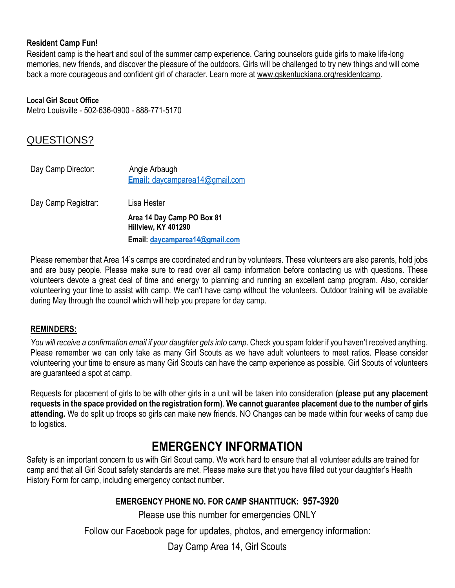#### **Resident Camp Fun!**

Resident camp is the heart and soul of the summer camp experience. Caring counselors guide girls to make life-long memories, new friends, and discover the pleasure of the outdoors. Girls will be challenged to try new things and will come back a more courageous and confident girl of character. Learn more at [www.gskentuckiana.org/residentcamp.](http://www.gskentuckiana.org/residentcamp)

#### **Local Girl Scout Office**

Metro Louisville - 502-636-0900 - 888-771-5170

#### QUESTIONS?

| Day Camp Director:  | Angie Arbaugh<br>Email: daycamparea14@gmail.com   |
|---------------------|---------------------------------------------------|
| Day Camp Registrar: | Lisa Hester                                       |
|                     | Area 14 Day Camp PO Box 81<br>Hillview, KY 401290 |
|                     | Email: daycamparea14@gmail.com                    |

Please remember that Area 14's camps are coordinated and run by volunteers. These volunteers are also parents, hold jobs and are busy people. Please make sure to read over all camp information before contacting us with questions. These volunteers devote a great deal of time and energy to planning and running an excellent camp program. Also, consider volunteering your time to assist with camp. We can't have camp without the volunteers. Outdoor training will be available during May through the council which will help you prepare for day camp.

#### **REMINDERS:**

*You will receive a confirmation email if your daughter gets into camp*. Check you spam folder if you haven't received anything. Please remember we can only take as many Girl Scouts as we have adult volunteers to meet ratios. Please consider volunteering your time to ensure as many Girl Scouts can have the camp experience as possible. Girl Scouts of volunteers are guaranteed a spot at camp.

Requests for placement of girls to be with other girls in a unit will be taken into consideration **(please put any placement requests in the space provided on the registration form)**. **We cannot guarantee placement due to the number of girls attending.** We do split up troops so girls can make new friends. NO Changes can be made within four weeks of camp due to logistics.

## **EMERGENCY INFORMATION**

Safety is an important concern to us with Girl Scout camp. We work hard to ensure that all volunteer adults are trained for camp and that all Girl Scout safety standards are met. Please make sure that you have filled out your daughter's Health History Form for camp, including emergency contact number.

#### **EMERGENCY PHONE NO. FOR CAMP SHANTITUCK: 957-3920**

Please use this number for emergencies ONLY

Follow our Facebook page for updates, photos, and emergency information:

Day Camp Area 14, Girl Scouts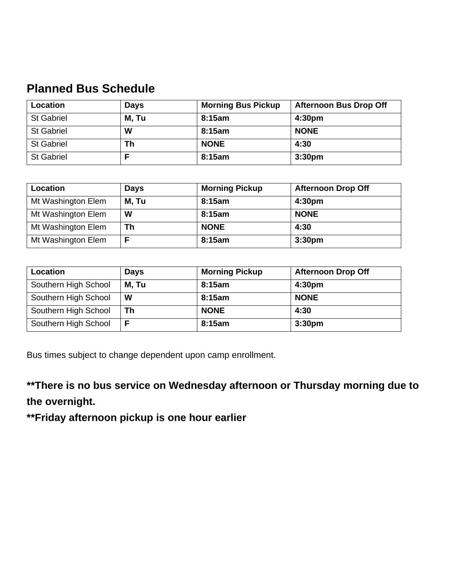# **Planned Bus Schedule**

| Location          | <b>Days</b> | <b>Morning Bus Pickup</b> | <b>Afternoon Bus Drop Off</b> |
|-------------------|-------------|---------------------------|-------------------------------|
| <b>St Gabriel</b> | M, Tu       | 8:15am                    | 4:30 <sub>pm</sub>            |
| <b>St Gabriel</b> | W           | 8:15am                    | <b>NONE</b>                   |
| <b>St Gabriel</b> | Th          | <b>NONE</b>               | 4:30                          |
| <b>St Gabriel</b> |             | 8:15am                    | 3:30 <sub>pm</sub>            |

| Location           | <b>Days</b> | <b>Morning Pickup</b> | <b>Afternoon Drop Off</b> |
|--------------------|-------------|-----------------------|---------------------------|
| Mt Washington Elem | M, Tu       | 8:15am                | 4:30 <sub>pm</sub>        |
| Mt Washington Elem | W           | 8:15am                | <b>NONE</b>               |
| Mt Washington Elem | Th          | <b>NONE</b>           | 4:30                      |
| Mt Washington Elem |             | 8:15am                | 3:30 <sub>pm</sub>        |

| Location             | <b>Days</b> | <b>Morning Pickup</b> | <b>Afternoon Drop Off</b> |
|----------------------|-------------|-----------------------|---------------------------|
| Southern High School | M, Tu       | 8:15am                | 4:30 <sub>pm</sub>        |
| Southern High School | W           | 8:15am                | <b>NONE</b>               |
| Southern High School | Th          | <b>NONE</b>           | 4:30                      |
| Southern High School |             | 8:15am                | 3:30 <sub>pm</sub>        |

Bus times subject to change dependent upon camp enrollment.

**\*\*There is no bus service on Wednesday afternoon or Thursday morning due to the overnight.**

**\*\*Friday afternoon pickup is one hour earlier**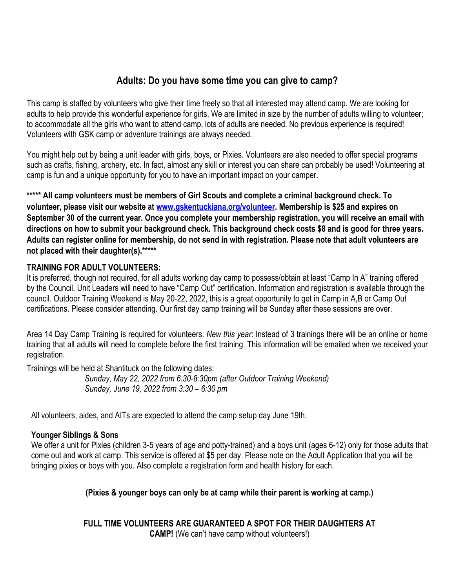#### **Adults: Do you have some time you can give to camp?**

This camp is staffed by volunteers who give their time freely so that all interested may attend camp. We are looking for adults to help provide this wonderful experience for girls. We are limited in size by the number of adults willing to volunteer; to accommodate all the girls who want to attend camp, lots of adults are needed. No previous experience is required! Volunteers with GSK camp or adventure trainings are always needed.

You might help out by being a unit leader with girls, boys, or Pixies. Volunteers are also needed to offer special programs such as crafts, fishing, archery, etc. In fact, almost any skill or interest you can share can probably be used! Volunteering at camp is fun and a unique opportunity for you to have an important impact on your camper.

**\*\*\*\*\* All camp volunteers must be members of Girl Scouts and complete a criminal background check. To volunteer, please visit our website at [www.gskentuckiana.org/volunteer.](http://www.gskentuckiana.org/volunteer) Membership is \$25 and expires on September 30 of the current year. Once you complete your membership registration, you will receive an email with directions on how to submit your background check. This background check costs \$8 and is good for three years. Adults can register online for membership, do not send in with registration. Please note that adult volunteers are not placed with their daughter(s).\*\*\*\*\***

#### **TRAINING FOR ADULT VOLUNTEERS:**

It is preferred, though not required, for all adults working day camp to possess/obtain at least "Camp In A" training offered by the Council. Unit Leaders will need to have "Camp Out" certification. Information and registration is available through the council. Outdoor Training Weekend is May 20-22, 2022, this is a great opportunity to get in Camp in A,B or Camp Out certifications. Please consider attending. Our first day camp training will be Sunday after these sessions are over.

Area 14 Day Camp Training is required for volunteers. *New this year*: Instead of 3 trainings there will be an online or home training that all adults will need to complete before the first training. This information will be emailed when we received your registration.

Trainings will be held at Shantituck on the following dates:

*Sunday, May 22, 2022 from 6:30-8:30pm (after Outdoor Training Weekend) Sunday, June 19, 2022 from 3:30 – 6:30 pm*

All volunteers, aides, and AITs are expected to attend the camp setup day June 19th.

#### **Younger Siblings & Sons**

We offer a unit for Pixies (children 3-5 years of age and potty-trained) and a boys unit (ages 6-12) only for those adults that come out and work at camp. This service is offered at \$5 per day. Please note on the Adult Application that you will be bringing pixies or boys with you. Also complete a registration form and health history for each.

#### **(Pixies & younger boys can only be at camp while their parent is working at camp.)**

**FULL TIME VOLUNTEERS ARE GUARANTEED A SPOT FOR THEIR DAUGHTERS AT CAMP!** (We can't have camp without volunteers!)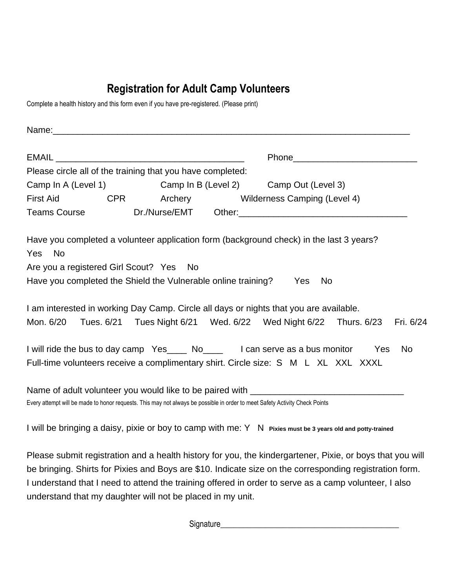# **Registration for Adult Camp Volunteers**

Complete a health history and this form even if you have pre-registered. (Please print)

|                                                               | Please circle all of the training that you have completed:    |                                                                                                                                                                                                                  |     |           |
|---------------------------------------------------------------|---------------------------------------------------------------|------------------------------------------------------------------------------------------------------------------------------------------------------------------------------------------------------------------|-----|-----------|
|                                                               |                                                               | Camp In A (Level 1) Camp In B (Level 2) Camp Out (Level 3)                                                                                                                                                       |     |           |
| <b>First Aid</b>                                              | CPR Archery                                                   | Wilderness Camping (Level 4)                                                                                                                                                                                     |     |           |
| <b>Teams Course</b>                                           |                                                               |                                                                                                                                                                                                                  |     |           |
| - No<br><b>Yes</b><br>Are you a registered Girl Scout? Yes No | Have you completed the Shield the Vulnerable online training? | Have you completed a volunteer application form (background check) in the last 3 years?<br>Yes<br><b>No</b>                                                                                                      |     |           |
| Mon. 6/20                                                     |                                                               | I am interested in working Day Camp. Circle all days or nights that you are available.<br>Tues. 6/21 Tues Night 6/21 Wed. 6/22 Wed Night 6/22 Thurs. 6/23 Fri. 6/24                                              |     |           |
|                                                               |                                                               | I will ride the bus to day camp Yes_____ No_____ I can serve as a bus monitor<br>Full-time volunteers receive a complimentary shirt. Circle size: S M L XL XXL XXXL                                              | Yes | <b>No</b> |
|                                                               |                                                               | Name of adult volunteer you would like to be paired with ________________________<br>Every attempt will be made to honor requests. This may not always be possible in order to meet Safety Activity Check Points |     |           |
|                                                               |                                                               | I will be bringing a daisy, pixie or boy to camp with me: Y N Pixies must be 3 years old and potty-trained                                                                                                       |     |           |

Please submit registration and a health history for you, the kindergartener, Pixie, or boys that you will be bringing. Shirts for Pixies and Boys are \$10. Indicate size on the corresponding registration form. I understand that I need to attend the training offered in order to serve as a camp volunteer, I also understand that my daughter will not be placed in my unit.

Signature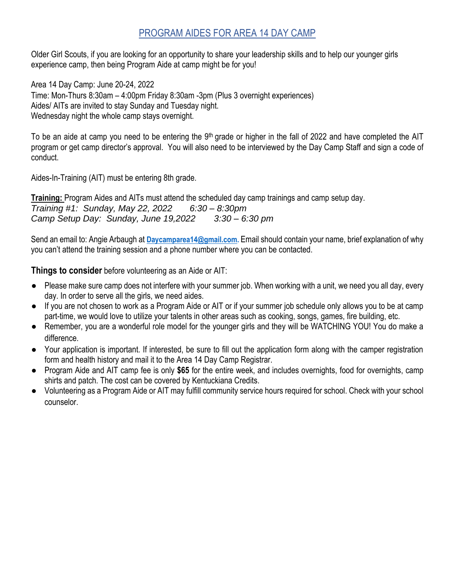#### PROGRAM AIDES FOR AREA 14 DAY CAMP

Older Girl Scouts, if you are looking for an opportunity to share your leadership skills and to help our younger girls experience camp, then being Program Aide at camp might be for you!

Area 14 Day Camp: June 20-24, 2022 Time: Mon-Thurs 8:30am – 4:00pm Friday 8:30am -3pm (Plus 3 overnight experiences) Aides/ AITs are invited to stay Sunday and Tuesday night. Wednesday night the whole camp stays overnight.

To be an aide at camp you need to be entering the 9<sup>th</sup> grade or higher in the fall of 2022 and have completed the AIT program or get camp director's approval. You will also need to be interviewed by the Day Camp Staff and sign a code of conduct.

Aides-In-Training (AIT) must be entering 8th grade.

**Training:** Program Aides and AITs must attend the scheduled day camp trainings and camp setup day. *Training #1: Sunday, May 22, 2022 6:30 – 8:30pm Camp Setup Day: Sunday, June 19,2022 3:30 – 6:30 pm*

Send an email to: Angie Arbaugh at **[Daycamparea14@gmail.com.](mailto:Daycamparea14@gmail.com)** Email should contain your name, brief explanation of why you can't attend the training session and a phone number where you can be contacted.

**Things to consider** before volunteering as an Aide or AIT:

- Please make sure camp does not interfere with your summer job. When working with a unit, we need you all day, every day. In order to serve all the girls, we need aides.
- If you are not chosen to work as a Program Aide or AIT or if your summer job schedule only allows you to be at camp part-time, we would love to utilize your talents in other areas such as cooking, songs, games, fire building, etc.
- Remember, you are a wonderful role model for the younger girls and they will be WATCHING YOU! You do make a difference.
- Your application is important. If interested, be sure to fill out the application form along with the camper registration form and health history and mail it to the Area 14 Day Camp Registrar.
- Program Aide and AIT camp fee is only **\$65** for the entire week, and includes overnights, food for overnights, camp shirts and patch. The cost can be covered by Kentuckiana Credits.
- Volunteering as a Program Aide or AIT may fulfill community service hours required for school. Check with your school counselor.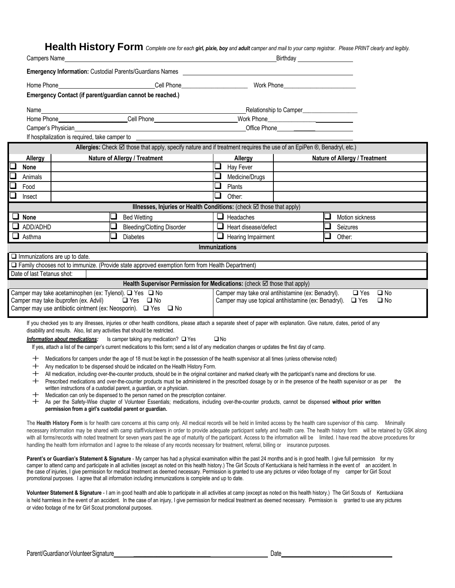**Health History Form** *Complete one for each girl, pixie, boy and adult camper and mail to your camp registrar. Please PRINT clearly and legibly.*

| Campers Name                                                                                                                                                                                                                                                                                                                                 |                                                                                                                                                                                                                                                                                                                                                 |  |                                                                                                                                                                                                                             |                      |                             | Birthday                                                   |   |                               |
|----------------------------------------------------------------------------------------------------------------------------------------------------------------------------------------------------------------------------------------------------------------------------------------------------------------------------------------------|-------------------------------------------------------------------------------------------------------------------------------------------------------------------------------------------------------------------------------------------------------------------------------------------------------------------------------------------------|--|-----------------------------------------------------------------------------------------------------------------------------------------------------------------------------------------------------------------------------|----------------------|-----------------------------|------------------------------------------------------------|---|-------------------------------|
|                                                                                                                                                                                                                                                                                                                                              |                                                                                                                                                                                                                                                                                                                                                 |  | <b>Emergency Information: Custodial Parents/Guardians Names</b>                                                                                                                                                             |                      |                             |                                                            |   |                               |
|                                                                                                                                                                                                                                                                                                                                              | Home Phone <b>Cell</b> Phone <b>Cell</b> Phone <b>Cell</b> Phone <b>Cell</b> Phone <b>Cell Cell CEL</b><br>Work Phone <b>Contract Contract Contract Contract Contract Contract Contract Contract Contract Contract Contract Contract Contract Contract Contract Contract Contract Contract Contract Contract Contract Contract Contract Con</b> |  |                                                                                                                                                                                                                             |                      |                             |                                                            |   |                               |
|                                                                                                                                                                                                                                                                                                                                              | Emergency Contact (if parent/guardian cannot be reached.)                                                                                                                                                                                                                                                                                       |  |                                                                                                                                                                                                                             |                      |                             |                                                            |   |                               |
|                                                                                                                                                                                                                                                                                                                                              |                                                                                                                                                                                                                                                                                                                                                 |  |                                                                                                                                                                                                                             |                      |                             |                                                            |   |                               |
| Name                                                                                                                                                                                                                                                                                                                                         |                                                                                                                                                                                                                                                                                                                                                 |  | Home Phone <b>Cell</b> Phone <b>Cell</b> Phone                                                                                                                                                                              |                      |                             | Relationship to Camper_____________________                |   |                               |
|                                                                                                                                                                                                                                                                                                                                              | Camper's Physician                                                                                                                                                                                                                                                                                                                              |  |                                                                                                                                                                                                                             |                      |                             | Office Phone <b>Container and Container Phone</b>          |   |                               |
|                                                                                                                                                                                                                                                                                                                                              | If hospitalization is required, take camper to                                                                                                                                                                                                                                                                                                  |  |                                                                                                                                                                                                                             |                      |                             |                                                            |   |                               |
|                                                                                                                                                                                                                                                                                                                                              |                                                                                                                                                                                                                                                                                                                                                 |  | Allergies: Check Ø those that apply, specify nature and if treatment requires the use of an EpiPen ®, Benadryl, etc.)                                                                                                       |                      |                             |                                                            |   |                               |
| Allergy                                                                                                                                                                                                                                                                                                                                      |                                                                                                                                                                                                                                                                                                                                                 |  | Nature of Allergy / Treatment                                                                                                                                                                                               |                      | Allergy                     |                                                            |   | Nature of Allergy / Treatment |
| None                                                                                                                                                                                                                                                                                                                                         |                                                                                                                                                                                                                                                                                                                                                 |  |                                                                                                                                                                                                                             | ⊔                    | Hay Fever                   |                                                            |   |                               |
| Animals                                                                                                                                                                                                                                                                                                                                      |                                                                                                                                                                                                                                                                                                                                                 |  |                                                                                                                                                                                                                             | ⊔                    | Medicine/Drugs              |                                                            |   |                               |
| Food                                                                                                                                                                                                                                                                                                                                         |                                                                                                                                                                                                                                                                                                                                                 |  |                                                                                                                                                                                                                             | ❏                    | Plants                      |                                                            |   |                               |
| Insect                                                                                                                                                                                                                                                                                                                                       |                                                                                                                                                                                                                                                                                                                                                 |  |                                                                                                                                                                                                                             | ❏                    | Other:                      |                                                            |   |                               |
|                                                                                                                                                                                                                                                                                                                                              |                                                                                                                                                                                                                                                                                                                                                 |  | Illnesses, Injuries or Health Conditions: (check ⊠ those that apply)                                                                                                                                                        |                      |                             |                                                            |   |                               |
| $\Box$ None                                                                                                                                                                                                                                                                                                                                  |                                                                                                                                                                                                                                                                                                                                                 |  | <b>Bed Wetting</b>                                                                                                                                                                                                          |                      | $\Box$ Headaches            |                                                            | u | Motion sickness               |
| $\Box$ ADD/ADHD                                                                                                                                                                                                                                                                                                                              |                                                                                                                                                                                                                                                                                                                                                 |  | <b>Bleeding/Clotting Disorder</b>                                                                                                                                                                                           |                      | $\Box$ Heart disease/defect |                                                            |   | Seizures                      |
| $\Box$ Asthma                                                                                                                                                                                                                                                                                                                                |                                                                                                                                                                                                                                                                                                                                                 |  | <b>Diabetes</b>                                                                                                                                                                                                             |                      | $\Box$ Hearing Impairment   |                                                            | ❏ | Other:                        |
|                                                                                                                                                                                                                                                                                                                                              |                                                                                                                                                                                                                                                                                                                                                 |  |                                                                                                                                                                                                                             | <b>Immunizations</b> |                             |                                                            |   |                               |
|                                                                                                                                                                                                                                                                                                                                              | $\Box$ Immunizations are up to date.                                                                                                                                                                                                                                                                                                            |  | $\Box$ Family chooses not to immunize. (Provide state approved exemption form from Health Department)                                                                                                                       |                      |                             |                                                            |   |                               |
| Date of last Tetanus shot:                                                                                                                                                                                                                                                                                                                   |                                                                                                                                                                                                                                                                                                                                                 |  |                                                                                                                                                                                                                             |                      |                             |                                                            |   |                               |
|                                                                                                                                                                                                                                                                                                                                              |                                                                                                                                                                                                                                                                                                                                                 |  | Health Supervisor Permission for Medications: (check ⊠ those that apply)                                                                                                                                                    |                      |                             |                                                            |   |                               |
|                                                                                                                                                                                                                                                                                                                                              | Camper may take acetaminophen (ex: Tylenol). ■ Yes ■ No                                                                                                                                                                                                                                                                                         |  |                                                                                                                                                                                                                             |                      |                             | Camper may take oral antihistamine (ex: Benadryl).         |   | $\square$ No<br>$\Box$ Yes    |
|                                                                                                                                                                                                                                                                                                                                              | Camper may take ibuprofen (ex. Advil)                                                                                                                                                                                                                                                                                                           |  | $\Box$ Yes $\Box$ No                                                                                                                                                                                                        |                      |                             | Camper may use topical antihistamine (ex: Benadryl). □ Yes |   | $\square$ No                  |
|                                                                                                                                                                                                                                                                                                                                              |                                                                                                                                                                                                                                                                                                                                                 |  | Camper may use antibiotic ointment (ex: Neosporin). □ Yes □ No                                                                                                                                                              |                      |                             |                                                            |   |                               |
|                                                                                                                                                                                                                                                                                                                                              |                                                                                                                                                                                                                                                                                                                                                 |  | If you checked yes to any illnesses, injuries or other health conditions, please attach a separate sheet of paper with explanation. Give nature, dates, period of any                                                       |                      |                             |                                                            |   |                               |
|                                                                                                                                                                                                                                                                                                                                              | disability and results. Also, list any activities that should be restricted.                                                                                                                                                                                                                                                                    |  |                                                                                                                                                                                                                             |                      |                             |                                                            |   |                               |
|                                                                                                                                                                                                                                                                                                                                              |                                                                                                                                                                                                                                                                                                                                                 |  | Information about medications: Is camper taking any medication? O Yes                                                                                                                                                       | $\square$ No         |                             |                                                            |   |                               |
| If yes, attach a list of the camper's current medications to this form; send a list of any medication changes or updates the first day of camp.                                                                                                                                                                                              |                                                                                                                                                                                                                                                                                                                                                 |  |                                                                                                                                                                                                                             |                      |                             |                                                            |   |                               |
| ┿<br>┿                                                                                                                                                                                                                                                                                                                                       |                                                                                                                                                                                                                                                                                                                                                 |  | Medications for campers under the age of 18 must be kept in the possession of the health supervisor at all times (unless otherwise noted)<br>Any medication to be dispensed should be indicated on the Health History Form. |                      |                             |                                                            |   |                               |
| ┿                                                                                                                                                                                                                                                                                                                                            |                                                                                                                                                                                                                                                                                                                                                 |  | All medication, including over-the-counter products, should be in the original container and marked clearly with the participant's name and directions for use.                                                             |                      |                             |                                                            |   |                               |
| ┿                                                                                                                                                                                                                                                                                                                                            |                                                                                                                                                                                                                                                                                                                                                 |  | Prescribed medications and over-the-counter products must be administered in the prescribed dosage by or in the presence of the health supervisor or as per                                                                 |                      |                             |                                                            |   | the                           |
| written instructions of a custodial parent, a guardian, or a physician.<br>Medication can only be dispensed to the person named on the prescription container.                                                                                                                                                                               |                                                                                                                                                                                                                                                                                                                                                 |  |                                                                                                                                                                                                                             |                      |                             |                                                            |   |                               |
| + As per the Safety-Wise chapter of Volunteer Essentials; medications, including over-the-counter products, cannot be dispensed without prior written                                                                                                                                                                                        |                                                                                                                                                                                                                                                                                                                                                 |  |                                                                                                                                                                                                                             |                      |                             |                                                            |   |                               |
|                                                                                                                                                                                                                                                                                                                                              | permission from a girl's custodial parent or guardian.                                                                                                                                                                                                                                                                                          |  |                                                                                                                                                                                                                             |                      |                             |                                                            |   |                               |
|                                                                                                                                                                                                                                                                                                                                              |                                                                                                                                                                                                                                                                                                                                                 |  | The Health History Form is for health care concerns at this camp only. All medical records will be held in limited access by the health care supervisor of this camp. Minimally                                             |                      |                             |                                                            |   |                               |
| necessary information may be shared with camp staff/volunteers in order to provide adequate participant safety and health care. The health history form will be retained by GSK along                                                                                                                                                        |                                                                                                                                                                                                                                                                                                                                                 |  |                                                                                                                                                                                                                             |                      |                             |                                                            |   |                               |
| with all forms/records with noted treatment for seven years past the age of maturity of the participant. Access to the information will be limited. I have read the above procedures for<br>handling the health form information and I agree to the release of any records necessary for treatment, referral, billing or insurance purposes. |                                                                                                                                                                                                                                                                                                                                                 |  |                                                                                                                                                                                                                             |                      |                             |                                                            |   |                               |
|                                                                                                                                                                                                                                                                                                                                              |                                                                                                                                                                                                                                                                                                                                                 |  | Parent's or Guardian's Statement & Signature - My camper has had a physical examination within the past 24 months and is in good health. I give full permission for my                                                      |                      |                             |                                                            |   |                               |

camper to attend camp and participate in all activities (except as noted on this health history.) The Girl Scouts of Kentuckiana is held harmless in the event of an accident. In the case of injuries, I give permission for medical treatment as deemed necessary. Permission is granted to use any pictures or video footage of my camper for Girl Scout promotional purposes. I agree that all information including immunizations is complete and up to date.

**Volunteer Statement & Signature** - I am in good health and able to participate in all activities at camp (except as noted on this health history.) The Girl Scouts of Kentuckiana is held harmless in the event of an accident. In the case of an injury, I give permission for medical treatment as deemed necessary. Permission is granted to use any pictures or video footage of me for Girl Scout promotional purposes.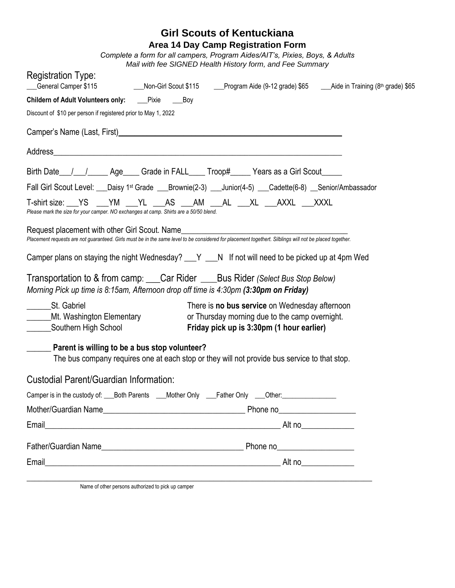#### **Girl Scouts of Kentuckiana Area 14 Day Camp Registration Form**

*Complete a form for all campers, Program Aides/AIT's, Pixies, Boys, & Adults Mail with fee SIGNED Health History form, and Fee Summary*

| <b>Registration Type:</b>                                                             |                                                                                                                                                                                                                                 |  |
|---------------------------------------------------------------------------------------|---------------------------------------------------------------------------------------------------------------------------------------------------------------------------------------------------------------------------------|--|
| Childern of Adult Volunteers only: ____Pixie ______Boy                                |                                                                                                                                                                                                                                 |  |
| Discount of \$10 per person if registered prior to May 1, 2022                        |                                                                                                                                                                                                                                 |  |
|                                                                                       | Camper's Name (Last, First)<br>expansion of the contract of the contract of the contract of the contract of the contract of the contract of the contract of the contract of the contract of the contract of the contract of the |  |
|                                                                                       |                                                                                                                                                                                                                                 |  |
|                                                                                       | Birth Date 11 1 Age Grade in FALL Troop# Years as a Girl Scout                                                                                                                                                                  |  |
|                                                                                       | Fall Girl Scout Level: ___Daisy 1st Grade ___Brownie(2-3) ___Junior(4-5) ___Cadette(6-8) __Senior/Ambassador                                                                                                                    |  |
| Please mark the size for your camper. NO exchanges at camp. Shirts are a 50/50 blend. | T-shirt size: YS __YM __YL __AS __AM __AL __XL __AXXL __XXXL                                                                                                                                                                    |  |
|                                                                                       | Request placement with other Girl Scout. Name<br>Placement requests are not guaranteed. Girls must be in the same level to be considered for placement together. Silblings will not be placed together.                         |  |
|                                                                                       | Camper plans on staying the night Wednesday? __ Y __N If not will need to be picked up at 4pm Wed                                                                                                                               |  |
| Morning Pick up time is 8:15am, Afternoon drop off time is 4:30pm (3:30pm on Friday)  | Transportation to & from camp: Car Rider ____Bus Rider (Select Bus Stop Below)                                                                                                                                                  |  |
| _________St. Gabriel<br>______Mt. Washington Elementary<br>Southern High School       | There is no bus service on Wednesday afternoon<br>or Thursday morning due to the camp overnight.<br>Friday pick up is 3:30pm (1 hour earlier)                                                                                   |  |
| ______ Parent is willing to be a bus stop volunteer?                                  | The bus company requires one at each stop or they will not provide bus service to that stop.                                                                                                                                    |  |
| Custodial Parent/Guardian Information:                                                |                                                                                                                                                                                                                                 |  |
|                                                                                       | Camper is in the custody of: Both Parents Allents Allent Chly Allent Chly Allent: Cherri                                                                                                                                        |  |
|                                                                                       | Phone no<br><u>Financial</u>                                                                                                                                                                                                    |  |
| Email                                                                                 |                                                                                                                                                                                                                                 |  |
|                                                                                       |                                                                                                                                                                                                                                 |  |
| Email                                                                                 |                                                                                                                                                                                                                                 |  |
|                                                                                       |                                                                                                                                                                                                                                 |  |

Name of other persons authorized to pick up camper